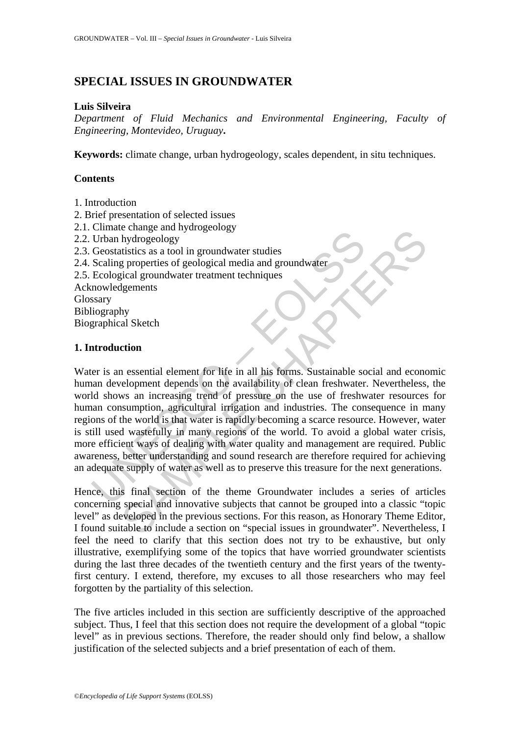# **SPECIAL ISSUES IN GROUNDWATER**

#### **Luis Silveira**

*Department of Fluid Mechanics and Environmental Engineering, Faculty of Engineering, Montevideo, Uruguay***.** 

**Keywords:** climate change, urban hydrogeology, scales dependent, in situ techniques.

## **Contents**

- 1. Introduction
- 2. Brief presentation of selected issues
- 2.1. Climate change and hydrogeology
- 2.2. Urban hydrogeology
- 2.3. Geostatistics as a tool in groundwater studies
- 2.4. Scaling properties of geological media and groundwater
- 2.5. Ecological groundwater treatment techniques

Acknowledgements Glossary

Bibliography

Biographical Sketch

## **1. Introduction**

Urban hydrogeology<br>
Urban hydrogeology<br>
Geostatistics as a tool in groundwater studies<br>
Scaling properties of geological media and groundwater<br>
Ecological groundwater treatment techniques<br>
stary<br>
stary<br>
iography<br>
graphical Change and nyontogeology<br>
by through any and promotivater studies<br>
hydrogeology<br>
stustics as a tool in groundwater studies<br>
igeneents of geological media and groundwater<br>
igeneents<br>
ligeneents<br>
stagements<br>
hy<br>
hy<br>
hy<br>
al S Water is an essential element for life in all his forms. Sustainable social and economic human development depends on the availability of clean freshwater. Nevertheless, the world shows an increasing trend of pressure on the use of freshwater resources for human consumption, agricultural irrigation and industries. The consequence in many regions of the world is that water is rapidly becoming a scarce resource. However, water is still used wastefully in many regions of the world. To avoid a global water crisis, more efficient ways of dealing with water quality and management are required. Public awareness, better understanding and sound research are therefore required for achieving an adequate supply of water as well as to preserve this treasure for the next generations.

Hence, this final section of the theme Groundwater includes a series of articles concerning special and innovative subjects that cannot be grouped into a classic "topic level" as developed in the previous sections. For this reason, as Honorary Theme Editor, I found suitable to include a section on "special issues in groundwater". Nevertheless, I feel the need to clarify that this section does not try to be exhaustive, but only illustrative, exemplifying some of the topics that have worried groundwater scientists during the last three decades of the twentieth century and the first years of the twentyfirst century. I extend, therefore, my excuses to all those researchers who may feel forgotten by the partiality of this selection.

The five articles included in this section are sufficiently descriptive of the approached subject. Thus, I feel that this section does not require the development of a global "topic level" as in previous sections. Therefore, the reader should only find below, a shallow justification of the selected subjects and a brief presentation of each of them.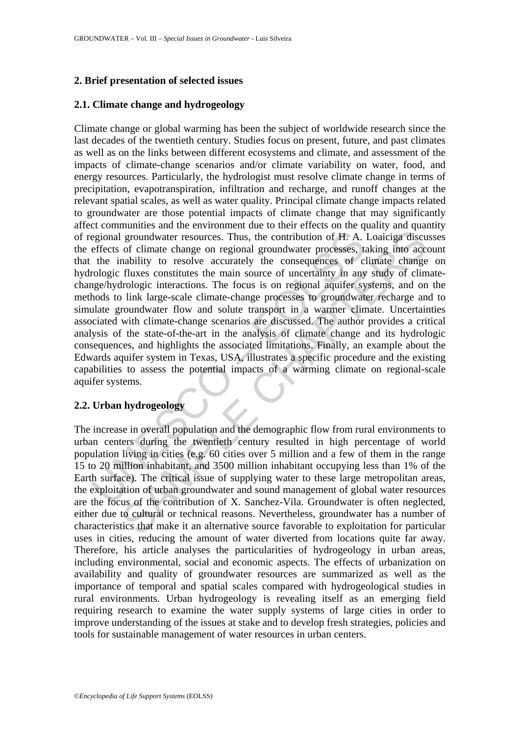## **2. Brief presentation of selected issues**

## **2.1. Climate change and hydrogeology**

egional groundwater resources. Thus, the contribution of H. A.<br>effects of climate change on regional groundwater processes, the inability to resolve accurately the consequences of c<br>rologic fluxes constitutes the main sour groundwater resources. Thus, the contribution of H. A. Loaiciga discussed of climate change on regional groundwater processes, taking into accountability to resolve accurately the consequences of climate change fluxes cons Climate change or global warming has been the subject of worldwide research since the last decades of the twentieth century. Studies focus on present, future, and past climates as well as on the links between different ecosystems and climate, and assessment of the impacts of climate-change scenarios and/or climate variability on water, food, and energy resources. Particularly, the hydrologist must resolve climate change in terms of precipitation, evapotranspiration, infiltration and recharge, and runoff changes at the relevant spatial scales, as well as water quality. Principal climate change impacts related to groundwater are those potential impacts of climate change that may significantly affect communities and the environment due to their effects on the quality and quantity of regional groundwater resources. Thus, the contribution of H. A. Loaiciga discusses the effects of climate change on regional groundwater processes, taking into account that the inability to resolve accurately the consequences of climate change on hydrologic fluxes constitutes the main source of uncertainty in any study of climatechange/hydrologic interactions. The focus is on regional aquifer systems, and on the methods to link large-scale climate-change processes to groundwater recharge and to simulate groundwater flow and solute transport in a warmer climate. Uncertainties associated with climate-change scenarios are discussed. The author provides a critical analysis of the state-of-the-art in the analysis of climate change and its hydrologic consequences, and highlights the associated limitations. Finally, an example about the Edwards aquifer system in Texas, USA, illustrates a specific procedure and the existing capabilities to assess the potential impacts of a warming climate on regional-scale aquifer systems.

## **2.2. Urban hydrogeology**

The increase in overall population and the demographic flow from rural environments to urban centers during the twentieth century resulted in high percentage of world population living in cities (e.g. 60 cities over 5 million and a few of them in the range 15 to 20 million inhabitant, and 3500 million inhabitant occupying less than 1% of the Earth surface). The critical issue of supplying water to these large metropolitan areas, the exploitation of urban groundwater and sound management of global water resources are the focus of the contribution of X. Sanchez-Vila. Groundwater is often neglected, either due to cultural or technical reasons. Nevertheless, groundwater has a number of characteristics that make it an alternative source favorable to exploitation for particular uses in cities, reducing the amount of water diverted from locations quite far away. Therefore, his article analyses the particularities of hydrogeology in urban areas, including environmental, social and economic aspects. The effects of urbanization on availability and quality of groundwater resources are summarized as well as the importance of temporal and spatial scales compared with hydrogeological studies in rural environments. Urban hydrogeology is revealing itself as an emerging field requiring research to examine the water supply systems of large cities in order to improve understanding of the issues at stake and to develop fresh strategies, policies and tools for sustainable management of water resources in urban centers.